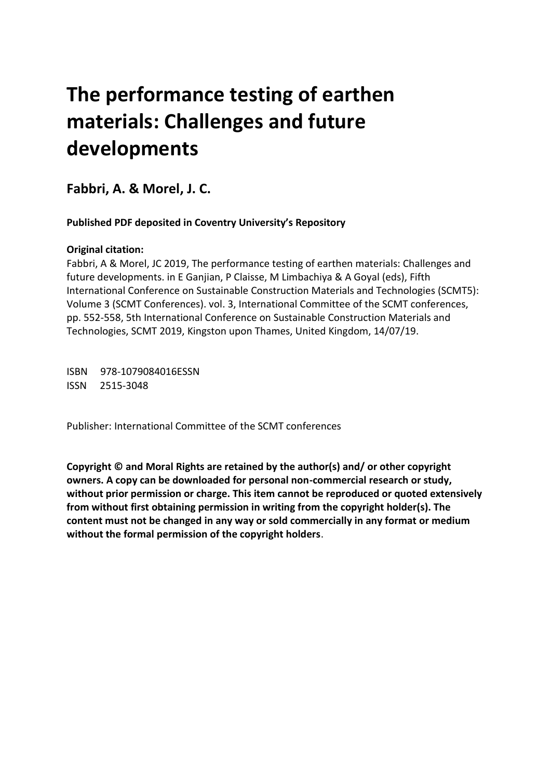# **The performance testing of earthen materials: Challenges and future developments**

**Fabbri, A. & Morel, J. C.** 

 **Published PDF deposited in Coventry University's Repository** 

### **Original citation:**

 Fabbri, A & Morel, JC 2019, The performance testing of earthen materials: Challenges and future developments. in E Ganjian, P Claisse, M Limbachiya & A Goyal (eds), Fifth International Conference on Sustainable Construction Materials and Technologies (SCMT5): pp. 552-558, 5th International Conference on Sustainable Construction Materials and Volume 3 (SCMT Conferences). vol. 3, International Committee of the SCMT conferences, Technologies, SCMT 2019, Kingston upon Thames, United Kingdom, 14/07/19.

 ISBN 978-1079084016ESSN ISSN 2515-3048

Publisher: International Committee of the SCMT conferences

 **Copyright © and Moral Rights are retained by the author(s) and/ or other copyright owners. A copy can be downloaded for personal non-commercial research or study, without prior permission or charge. This item cannot be reproduced or quoted extensively from without first obtaining permission in writing from the copyright holder(s). The content must not be changed in any way or sold commercially in any format or medium without the formal permission of the copyright holders**.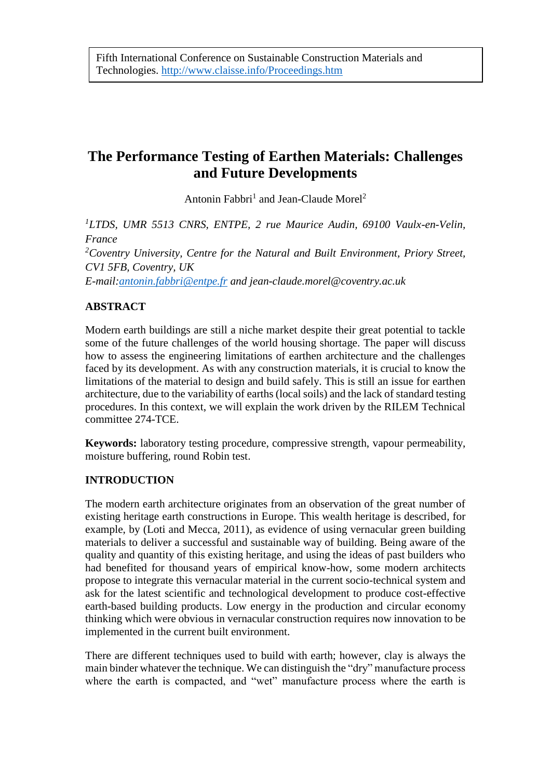# **The Performance Testing of Earthen Materials: Challenges and Future Developments**

Antonin Fabbri<sup>1</sup> and Jean-Claude Morel<sup>2</sup>

<sup>1</sup>LTDS, UMR 5513 CNRS, ENTPE, 2 rue Maurice Audin, 69100 Vaulx-en-Velin, *France 2 Coventry University, Centre for the Natural and Built Environment, Priory Street, CV1 5FB, Coventry, UK E-mail[:antonin.fabbri@entpe.fr](mailto:antonin.fabbri@entpe.fr) and jean-claude.morel@coventry.ac.uk* 

# **ABSTRACT**

 Modern earth buildings are still a niche market despite their great potential to tackle some of the future challenges of the world housing shortage. The paper will discuss faced by its development. As with any construction materials, it is crucial to know the limitations of the material to design and build safely. This is still an issue for earthen architecture, due to the variability of earths (local soils) and the lack of standard testing procedures. In this context, we will explain the work driven by the RILEM Technical how to assess the engineering limitations of earthen architecture and the challenges committee 274-TCE.

 **Keywords:** laboratory testing procedure, compressive strength, vapour permeability, moisture buffering, round Robin test.

## **INTRODUCTION**

 The modern earth architecture originates from an observation of the great number of existing heritage earth constructions in Europe. This wealth heritage is described, for example, by (Loti and Mecca, 2011), as evidence of using vernacular green building materials to deliver a successful and sustainable way of building. Being aware of the earth-based building products. Low energy in the production and circular economy thinking which were obvious in vernacular construction requires now innovation to be quality and quantity of this existing heritage, and using the ideas of past builders who had benefited for thousand years of empirical know-how, some modern architects propose to integrate this vernacular material in the current socio-technical system and ask for the latest scientific and technological development to produce cost-effective implemented in the current built environment.

 There are different techniques used to build with earth; however, clay is always the main binder whatever the technique. We can distinguish the "dry" manufacture process where the earth is compacted, and "wet" manufacture process where the earth is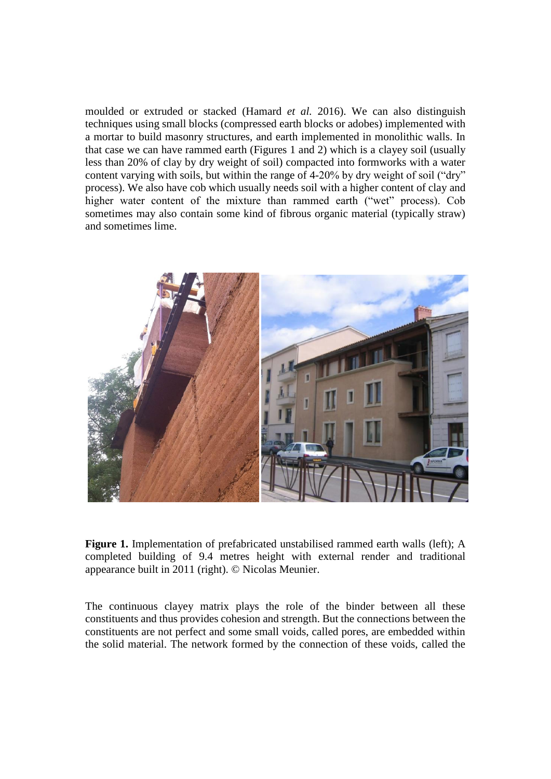moulded or extruded or stacked (Hamard *et al.* 2016). We can also distinguish a mortar to build masonry structures, and earth implemented in monolithic walls. In that case we can have rammed earth (Figures 1 and 2) which is a clayey soil (usually less than 20% of clay by dry weight of soil) compacted into formworks with a water process). We also have cob which usually needs soil with a higher content of clay and sometimes may also contain some kind of fibrous organic material (typically straw) techniques using small blocks (compressed earth blocks or adobes) implemented with content varying with soils, but within the range of 4-20% by dry weight of soil ("dry" higher water content of the mixture than rammed earth ("wet" process). Cob and sometimes lime.



 completed building of 9.4 metres height with external render and traditional **Figure 1.** Implementation of prefabricated unstabilised rammed earth walls (left); A appearance built in 2011 (right). © Nicolas Meunier.

 The continuous clayey matrix plays the role of the binder between all these the solid material. The network formed by the connection of these voids, called the constituents and thus provides cohesion and strength. But the connections between the constituents are not perfect and some small voids, called pores, are embedded within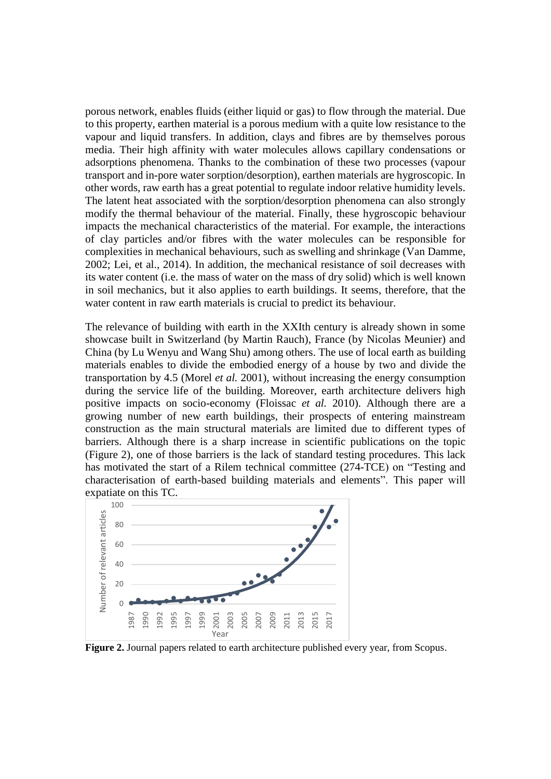porous network, enables fluids (either liquid or gas) to flow through the material. Due to this property, earthen material is a porous medium with a quite low resistance to the vapour and liquid transfers. In addition, clays and fibres are by themselves porous other words, raw earth has a great potential to regulate indoor relative humidity levels. of clay particles and/or fibres with the water molecules can be responsible for 2002; Lei, et al., 2014). In addition, the mechanical resistance of soil decreases with media. Their high affinity with water molecules allows capillary condensations or adsorptions phenomena. Thanks to the combination of these two processes (vapour transport and in-pore water sorption/desorption), earthen materials are hygroscopic. In The latent heat associated with the sorption/desorption phenomena can also strongly modify the thermal behaviour of the material. Finally, these hygroscopic behaviour impacts the mechanical characteristics of the material. For example, the interactions complexities in mechanical behaviours, such as swelling and shrinkage (Van Damme, its water content (i.e. the mass of water on the mass of dry solid) which is well known in soil mechanics, but it also applies to earth buildings. It seems, therefore, that the water content in raw earth materials is crucial to predict its behaviour.

 The relevance of building with earth in the XXIth century is already shown in some showcase built in Switzerland (by Martin Rauch), France (by Nicolas Meunier) and China (by Lu Wenyu and Wang Shu) among others. The use of local earth as building materials enables to divide the embodied energy of a house by two and divide the transportation by 4.5 (Morel *et al.* 2001), without increasing the energy consumption during the service life of the building. Moreover, earth architecture delivers high positive impacts on socio-economy (Floissac *et al.* 2010). Although there are a barriers. Although there is a sharp increase in scientific publications on the topic (Figure 2), one of those barriers is the lack of standard testing procedures. This lack growing number of new earth buildings, their prospects of entering mainstream construction as the main structural materials are limited due to different types of has motivated the start of a Rilem technical committee (274-TCE) on "Testing and characterisation of earth-based building materials and elements". This paper will expatiate on this TC.



**Figure 2.** Journal papers related to earth architecture published every year, from Scopus.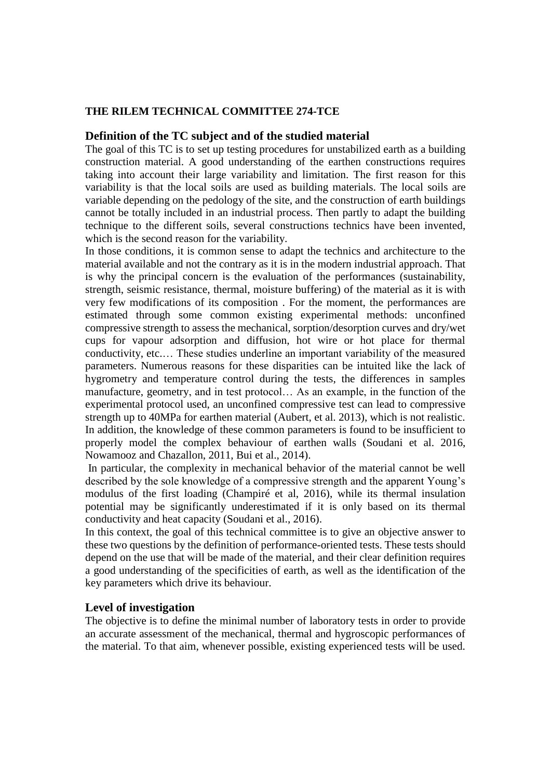#### **THE RILEM TECHNICAL COMMITTEE 274-TCE**

#### **Definition of the TC subject and of the studied material**

 The goal of this TC is to set up testing procedures for unstabilized earth as a building cannot be totally included in an industrial process. Then partly to adapt the building technique to the different soils, several constructions technics have been invented, construction material. A good understanding of the earthen constructions requires taking into account their large variability and limitation. The first reason for this variability is that the local soils are used as building materials. The local soils are variable depending on the pedology of the site, and the construction of earth buildings which is the second reason for the variability.

 In those conditions, it is common sense to adapt the technics and architecture to the is why the principal concern is the evaluation of the performances (sustainability, strength, seismic resistance, thermal, moisture buffering) of the material as it is with estimated through some common existing experimental methods: unconfined parameters. Numerous reasons for these disparities can be intuited like the lack of In addition, the knowledge of these common parameters is found to be insufficient to properly model the complex behaviour of earthen walls (Soudani et al. 2016, material available and not the contrary as it is in the modern industrial approach. That very few modifications of its composition . For the moment, the performances are compressive strength to assess the mechanical, sorption/desorption curves and dry/wet cups for vapour adsorption and diffusion, hot wire or hot place for thermal conductivity, etc.… These studies underline an important variability of the measured hygrometry and temperature control during the tests, the differences in samples manufacture, geometry, and in test protocol… As an example, in the function of the experimental protocol used, an unconfined compressive test can lead to compressive strength up to 40MPa for earthen material (Aubert, et al. 2013), which is not realistic. Nowamooz and Chazallon, 2011, Bui et al., 2014).

 In particular, the complexity in mechanical behavior of the material cannot be well described by the sole knowledge of a compressive strength and the apparent Young's modulus of the first loading (Champiré et al, 2016), while its thermal insulation potential may be significantly underestimated if it is only based on its thermal conductivity and heat capacity (Soudani et al., 2016).

 these two questions by the definition of performance-oriented tests. These tests should a good understanding of the specificities of earth, as well as the identification of the In this context, the goal of this technical committee is to give an objective answer to depend on the use that will be made of the material, and their clear definition requires key parameters which drive its behaviour.

#### **Level of investigation**

 The objective is to define the minimal number of laboratory tests in order to provide an accurate assessment of the mechanical, thermal and hygroscopic performances of the material. To that aim, whenever possible, existing experienced tests will be used.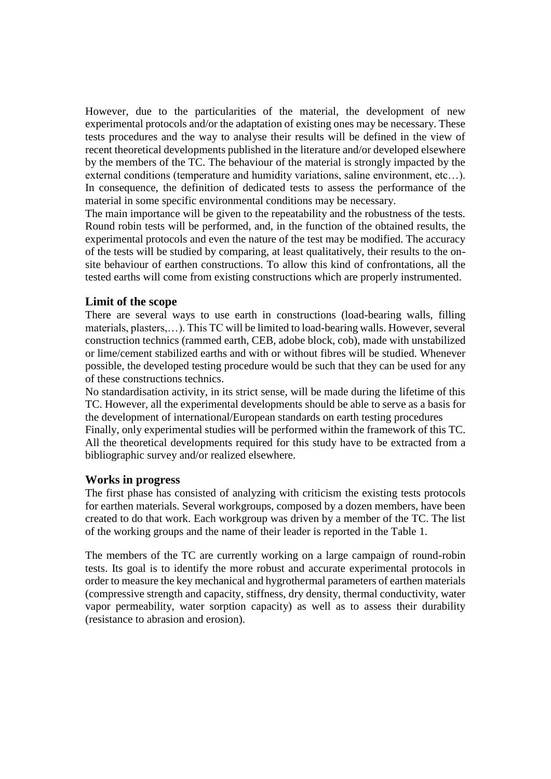experimental protocols and/or the adaptation of existing ones may be necessary. These tests procedures and the way to analyse their results will be defined in the view of recent theoretical developments published in the literature and/or developed elsewhere by the members of the TC. The behaviour of the material is strongly impacted by the In consequence, the definition of dedicated tests to assess the performance of the However, due to the particularities of the material, the development of new external conditions (temperature and humidity variations, saline environment, etc…). material in some specific environmental conditions may be necessary.

 Round robin tests will be performed, and, in the function of the obtained results, the experimental protocols and even the nature of the test may be modified. The accuracy of the tests will be studied by comparing, at least qualitatively, their results to the on-The main importance will be given to the repeatability and the robustness of the tests. site behaviour of earthen constructions. To allow this kind of confrontations, all the tested earths will come from existing constructions which are properly instrumented.

#### **Limit of the scope**

 There are several ways to use earth in constructions (load-bearing walls, filling materials, plasters,…). This TC will be limited to load-bearing walls. However, several or lime/cement stabilized earths and with or without fibres will be studied. Whenever construction technics (rammed earth, CEB, adobe block, cob), made with unstabilized possible, the developed testing procedure would be such that they can be used for any of these constructions technics.

 No standardisation activity, in its strict sense, will be made during the lifetime of this TC. However, all the experimental developments should be able to serve as a basis for the development of international/European standards on earth testing procedures

 Finally, only experimental studies will be performed within the framework of this TC. All the theoretical developments required for this study have to be extracted from a bibliographic survey and/or realized elsewhere.

#### **Works in progress**

 The first phase has consisted of analyzing with criticism the existing tests protocols for earthen materials. Several workgroups, composed by a dozen members, have been created to do that work. Each workgroup was driven by a member of the TC. The list of the working groups and the name of their leader is reported in the Table 1.

 The members of the TC are currently working on a large campaign of round-robin tests. Its goal is to identify the more robust and accurate experimental protocols in order to measure the key mechanical and hygrothermal parameters of earthen materials vapor permeability, water sorption capacity) as well as to assess their durability (compressive strength and capacity, stiffness, dry density, thermal conductivity, water (resistance to abrasion and erosion).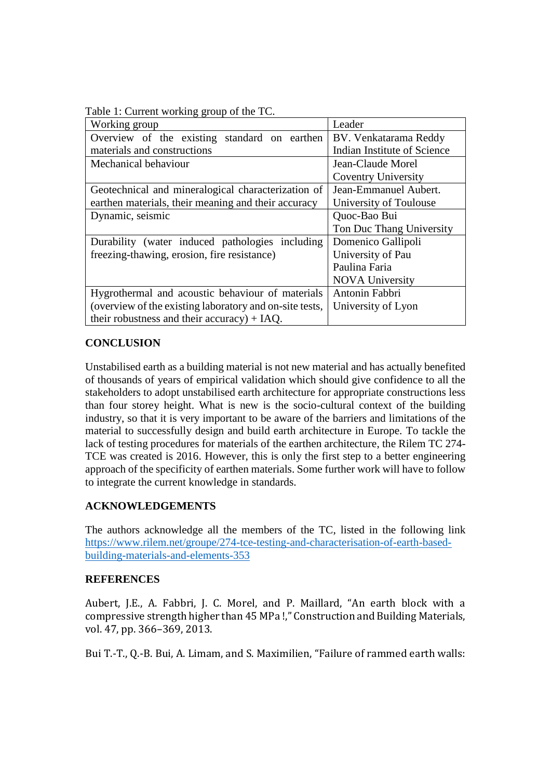| Lable 1. Current working group of the TC.               |                             |
|---------------------------------------------------------|-----------------------------|
| Working group                                           | Leader                      |
| Overview of the existing standard on earthen            | BV. Venkatarama Reddy       |
| materials and constructions                             | Indian Institute of Science |
| Mechanical behaviour                                    | Jean-Claude Morel           |
|                                                         | <b>Coventry University</b>  |
| Geotechnical and mineralogical characterization of      | Jean-Emmanuel Aubert.       |
| earthen materials, their meaning and their accuracy     | University of Toulouse      |
| Dynamic, seismic                                        | Quoc-Bao Bui                |
|                                                         | Ton Duc Thang University    |
| Durability (water induced pathologies including         | Domenico Gallipoli          |
| freezing-thawing, erosion, fire resistance)             | University of Pau           |
|                                                         | Paulina Faria               |
|                                                         | <b>NOVA University</b>      |
| Hygrothermal and acoustic behaviour of materials        | Antonin Fabbri              |
| (overview of the existing laboratory and on-site tests, | University of Lyon          |
| their robustness and their accuracy) $+$ IAQ.           |                             |

Table 1: Current working group of the TC.

#### **CONCLUSION**

 Unstabilised earth as a building material is not new material and has actually benefited of thousands of years of empirical validation which should give confidence to all the than four storey height. What is new is the socio-cultural context of the building industry, so that it is very important to be aware of the barriers and limitations of the lack of testing procedures for materials of the earthen architecture, the Rilem TC 274 TCE was created is 2016. However, this is only the first step to a better engineering approach of the specificity of earthen materials. Some further work will have to follow stakeholders to adopt unstabilised earth architecture for appropriate constructions less material to successfully design and build earth architecture in Europe. To tackle the to integrate the current knowledge in standards.

#### **ACKNOWLEDGEMENTS**

The authors acknowledge all the members of the TC, listed in the following link [https://www.rilem.net/groupe/274-tce-testing-and-characterisation-of-earth-based](https://www.rilem.net/groupe/274-tce-testing-and-characterisation-of-earth-based-building-materials-and-elements-353)[building-materials-and-elements-353](https://www.rilem.net/groupe/274-tce-testing-and-characterisation-of-earth-based-building-materials-and-elements-353) 

#### **REFERENCES**

Aubert, J.E., A. Fabbri, J. C. Morel, and P. Maillard, "An earth block with a compressive strength higher than 45 MPa !," Construction and Building Materials, vol. 47, pp. 366–369, 2013.

Bui T.-T., Q.-B. Bui, A. Limam, and S. Maximilien, "Failure of rammed earth walls: